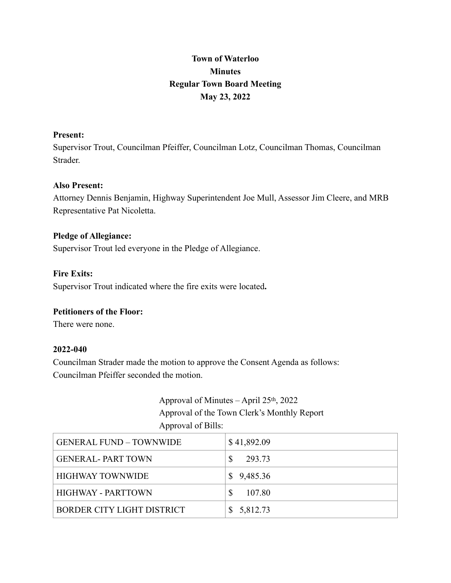# **Town of Waterloo Minutes Regular Town Board Meeting May 23, 2022**

# **Present:**

Supervisor Trout, Councilman Pfeiffer, Councilman Lotz, Councilman Thomas, Councilman **Strader** 

# **Also Present:**

Attorney Dennis Benjamin, Highway Superintendent Joe Mull, Assessor Jim Cleere, and MRB Representative Pat Nicoletta.

### **Pledge of Allegiance:**

Supervisor Trout led everyone in the Pledge of Allegiance.

### **Fire Exits:**

Supervisor Trout indicated where the fire exits were located**.**

# **Petitioners of the Floor:**

There were none.

### **2022-040**

Councilman Strader made the motion to approve the Consent Agenda as follows: Councilman Pfeiffer seconded the motion.

# Approval of Minutes – April 25th, 2022 Approval of the Town Clerk's Monthly Report Approval of Bills:

| <b>GENERAL FUND - TOWNWIDE</b> | \$41,892.09 |
|--------------------------------|-------------|
| <b>GENERAL-PART TOWN</b>       | 293.73      |
| <b>HIGHWAY TOWNWIDE</b>        | \$9,485.36  |
| <b>HIGHWAY - PARTTOWN</b>      | 107.80      |
| BORDER CITY LIGHT DISTRICT     | \$5,812.73  |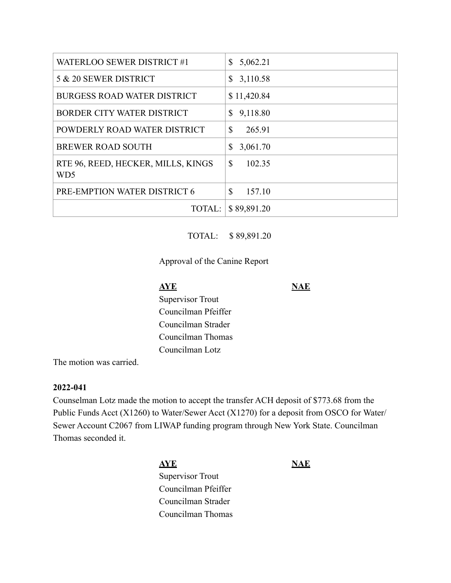| WATERLOO SEWER DISTRICT #1                            | 5,062.21<br>\$         |
|-------------------------------------------------------|------------------------|
| 5 & 20 SEWER DISTRICT                                 | 3,110.58<br>\$         |
| <b>BURGESS ROAD WATER DISTRICT</b>                    | \$11,420.84            |
| BORDER CITY WATER DISTRICT                            | 9,118.80<br>S          |
| POWDERLY ROAD WATER DISTRICT                          | $\mathbf S$<br>265.91  |
| <b>BREWER ROAD SOUTH</b>                              | 3,061.70<br>S          |
| RTE 96, REED, HECKER, MILLS, KINGS<br>WD <sub>5</sub> | $\mathbf S$<br>102.35  |
| PRE-EMPTION WATER DISTRICT 6                          | $\mathbb{S}$<br>157.10 |
| TOTAL:                                                | \$89,891.20            |

# TOTAL: \$ 89,891.20

# Approval of the Canine Report

**AYE** NAE Supervisor Trout Councilman Pfeiffer Councilman Strader Councilman Thomas Councilman Lotz

The motion was carried.

# **2022-041**

Counselman Lotz made the motion to accept the transfer ACH deposit of \$773.68 from the Public Funds Acct (X1260) to Water/Sewer Acct (X1270) for a deposit from OSCO for Water/ Sewer Account C2067 from LIWAP funding program through New York State. Councilman Thomas seconded it.

> **AYE NAE** Supervisor Trout Councilman Pfeiffer Councilman Strader Councilman Thomas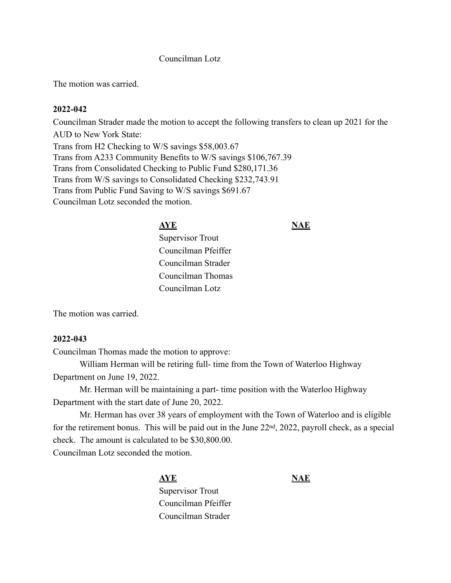# Councilman Lotz

The motion was carried.

### **2022-042**

Councilman Strader made the motion to accept the following transfers to clean up 2021 for the AUD to New York State: Trans from H2 Checking to W/S savings \$58,003.67 Trans from A233 Community Benefits to W/S savings \$106,767.39 Trans from Consolidated Checking to Public Fund \$280,171.36 Trans from W/S savings to Consolidated Checking \$232,743.91 Trans from Public Fund Saving to W/S savings \$691.67 Councilman Lotz seconded the motion.

# **AYE** NAE

Supervisor Trout Councilman Pfeiffer Councilman Strader Councilman Thomas Councilman Lotz

The motion was carried.

### **2022-043**

Councilman Thomas made the motion to approve:

William Herman will be retiring full- time from the Town of Waterloo Highway Department on June 19, 2022.

Mr. Herman will be maintaining a part- time position with the Waterloo Highway Department with the start date of June 20, 2022.

Mr. Herman has over 38 years of employment with the Town of Waterloo and is eligible for the retirement bonus. This will be paid out in the June 22nd, 2022, payroll check, as a special check. The amount is calculated to be \$30,800.00.

Councilman Lotz seconded the motion.

# **AYE NAE** Supervisor Trout Councilman Pfeiffer Councilman Strader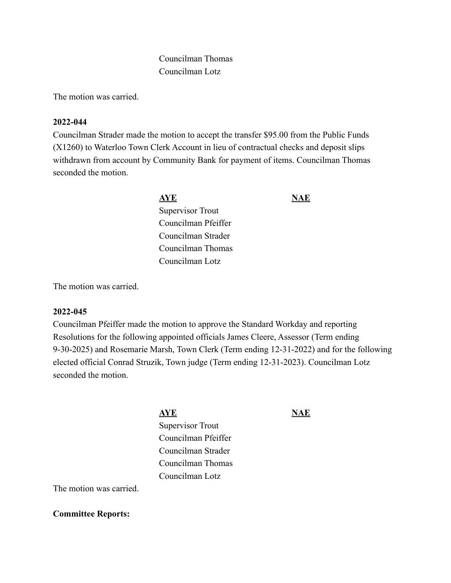# Councilman Thomas Councilman Lotz

The motion was carried.

# **2022-044**

Councilman Strader made the motion to accept the transfer \$95.00 from the Public Funds (X1260) to Waterloo Town Clerk Account in lieu of contractual checks and deposit slips withdrawn from account by Community Bank for payment of items. Councilman Thomas seconded the motion.

# **AYE** NAE

Supervisor Trout Councilman Pfeiffer Councilman Strader Councilman Thomas Councilman Lotz

The motion was carried.

# **2022-045**

Councilman Pfeiffer made the motion to approve the Standard Workday and reporting Resolutions for the following appointed officials James Cleere, Assessor (Term ending 9-30-2025) and Rosemarie Marsh, Town Clerk (Term ending 12-31-2022) and for the following elected official Conrad Struzik, Town judge (Term ending 12-31-2023). Councilman Lotz seconded the motion.

> **AYE NAE** Supervisor Trout Councilman Pfeiffer Councilman Strader Councilman Thomas Councilman Lotz

The motion was carried.

**Committee Reports:**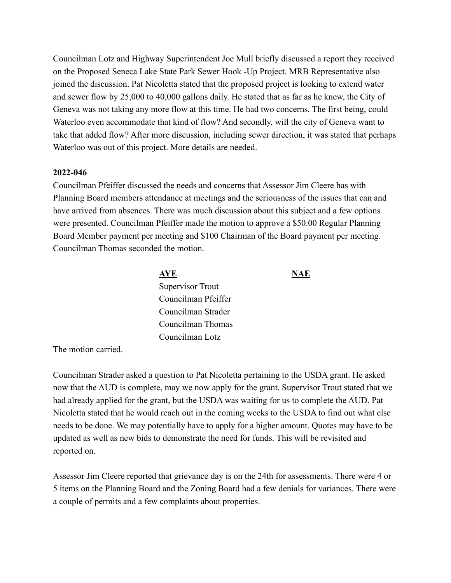Councilman Lotz and Highway Superintendent Joe Mull briefly discussed a report they received on the Proposed Seneca Lake State Park Sewer Hook -Up Project. MRB Representative also joined the discussion. Pat Nicoletta stated that the proposed project is looking to extend water and sewer flow by 25,000 to 40,000 gallons daily. He stated that as far as he knew, the City of Geneva was not taking any more flow at this time. He had two concerns. The first being, could Waterloo even accommodate that kind of flow? And secondly, will the city of Geneva want to take that added flow? After more discussion, including sewer direction, it was stated that perhaps Waterloo was out of this project. More details are needed.

#### **2022-046**

Councilman Pfeiffer discussed the needs and concerns that Assessor Jim Cleere has with Planning Board members attendance at meetings and the seriousness of the issues that can and have arrived from absences. There was much discussion about this subject and a few options were presented. Councilman Pfeiffer made the motion to approve a \$50.00 Regular Planning Board Member payment per meeting and \$100 Chairman of the Board payment per meeting. Councilman Thomas seconded the motion.

|                                                                                                                                                                                                                                                | <u>AYE</u>          | NAE |
|------------------------------------------------------------------------------------------------------------------------------------------------------------------------------------------------------------------------------------------------|---------------------|-----|
|                                                                                                                                                                                                                                                | Supervisor Trout    |     |
|                                                                                                                                                                                                                                                | Councilman Pfeiffer |     |
|                                                                                                                                                                                                                                                | Councilman Strader  |     |
|                                                                                                                                                                                                                                                | Councilman Thomas   |     |
|                                                                                                                                                                                                                                                | Councilman Lotz     |     |
| $\mathbf{r}$ . The contract of the contract of the contract of the contract of the contract of the contract of the contract of the contract of the contract of the contract of the contract of the contract of the contract of th<br>$\cdot$ 1 |                     |     |

The motion carried.

Councilman Strader asked a question to Pat Nicoletta pertaining to the USDA grant. He asked now that the AUD is complete, may we now apply for the grant. Supervisor Trout stated that we had already applied for the grant, but the USDA was waiting for us to complete the AUD. Pat Nicoletta stated that he would reach out in the coming weeks to the USDA to find out what else needs to be done. We may potentially have to apply for a higher amount. Quotes may have to be updated as well as new bids to demonstrate the need for funds. This will be revisited and reported on.

Assessor Jim Cleere reported that grievance day is on the 24th for assessments. There were 4 or 5 items on the Planning Board and the Zoning Board had a few denials for variances. There were a couple of permits and a few complaints about properties.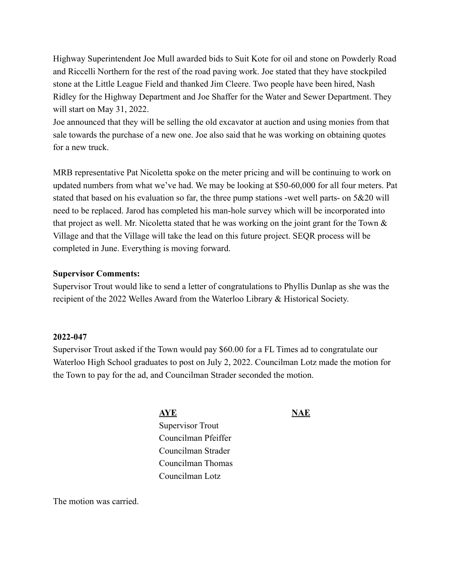Highway Superintendent Joe Mull awarded bids to Suit Kote for oil and stone on Powderly Road and Riccelli Northern for the rest of the road paving work. Joe stated that they have stockpiled stone at the Little League Field and thanked Jim Cleere. Two people have been hired, Nash Ridley for the Highway Department and Joe Shaffer for the Water and Sewer Department. They will start on May 31, 2022.

Joe announced that they will be selling the old excavator at auction and using monies from that sale towards the purchase of a new one. Joe also said that he was working on obtaining quotes for a new truck.

MRB representative Pat Nicoletta spoke on the meter pricing and will be continuing to work on updated numbers from what we've had. We may be looking at \$50-60,000 for all four meters. Pat stated that based on his evaluation so far, the three pump stations -wet well parts- on 5&20 will need to be replaced. Jarod has completed his man-hole survey which will be incorporated into that project as well. Mr. Nicoletta stated that he was working on the joint grant for the Town & Village and that the Village will take the lead on this future project. SEQR process will be completed in June. Everything is moving forward.

# **Supervisor Comments:**

Supervisor Trout would like to send a letter of congratulations to Phyllis Dunlap as she was the recipient of the 2022 Welles Award from the Waterloo Library & Historical Society.

# **2022-047**

Supervisor Trout asked if the Town would pay \$60.00 for a FL Times ad to congratulate our Waterloo High School graduates to post on July 2, 2022. Councilman Lotz made the motion for the Town to pay for the ad, and Councilman Strader seconded the motion.

**AYE NAE** 

Supervisor Trout Councilman Pfeiffer Councilman Strader Councilman Thomas Councilman Lotz

The motion was carried.